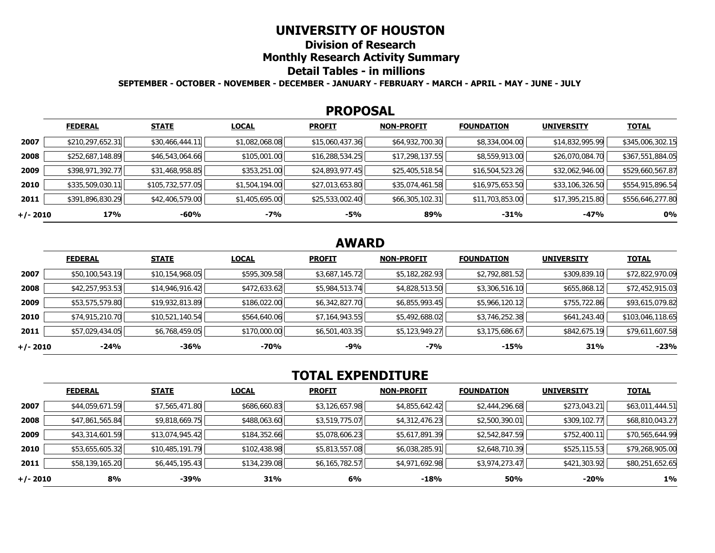## **UNIVERSITY OF HOUSTON**

**Division of Research** 

**Monthly Research Activity Summary** 

## **Detail Tables - in millions**

**SEPTEMBER - OCTOBER - NOVEMBER - DECEMBER - JANUARY - FEBRUARY - MARCH - APRIL - MAY - JUNE - JULY** 

### **PROPOSAL**

|            | <b>FEDERAL</b>   | <b>STATE</b>     | <b>LOCAL</b>   | <b>PROFIT</b>   | <b>NON-PROFIT</b> | <b>FOUNDATION</b> | <b>UNIVERSITY</b> | <b>TOTAL</b>     |
|------------|------------------|------------------|----------------|-----------------|-------------------|-------------------|-------------------|------------------|
| 2007       | \$210,297,652.31 | \$30,466,444.11  | \$1,082,068.08 | \$15,060,437.36 | \$64,932,700.30   | \$8,334,004.00    | \$14,832,995.99   | \$345,006,302.15 |
| 2008       | \$252,687,148.89 | \$46,543,064.66  | \$105,001.00   | \$16,288,534.25 | \$17,298,137.55   | \$8,559,913.00    | \$26,070,084.70   | \$367,551,884.05 |
| 2009       | \$398,971,392.77 | \$31,468,958.85  | \$353,251.00   | \$24,893,977.45 | \$25,405,518.54   | \$16,504,523.26   | \$32,062,946.00   | \$529,660,567.87 |
| 2010       | \$335,509,030.11 | \$105,732,577.05 | \$1,504,194.00 | \$27,013,653.80 | \$35,074,461.58   | \$16,975,653.50   | \$33,106,326.50   | \$554,915,896.54 |
| 2011       | \$391,896,830.29 | \$42,406,579.00  | \$1,405,695.00 | \$25,533,002.40 | \$66,305,102.31   | \$11,703,853.00   | \$17,395,215.80   | \$556,646,277.80 |
| $+/- 2010$ | 17%              | $-60%$           | -7%            | -5%             | 89%               | -31%              | $-47%$            | 0%               |

# **AWARD**

|          | <b>FEDERAL</b>  | <b>STATE</b>    | <b>LOCAL</b> | <b>PROFIT</b>  | <b>NON-PROFIT</b> | <b>FOUNDATION</b> | <b>UNIVERSITY</b> | <b>TOTAL</b>     |
|----------|-----------------|-----------------|--------------|----------------|-------------------|-------------------|-------------------|------------------|
| 2007     | \$50,100,543.19 | \$10,154,968.05 | \$595,309.58 | \$3,687,145.72 | \$5,182,282.93    | \$2,792,881.52    | \$309,839.10      | \$72,822,970.09  |
| 2008     | \$42,257,953.53 | \$14,946,916.42 | \$472,633.62 | \$5,984,513.74 | \$4,828,513.50    | \$3,306,516.10    | \$655,868.12      | \$72,452,915.03  |
| 2009     | \$53,575,579.80 | \$19,932,813.89 | \$186,022.00 | \$6,342,827.70 | \$6,855,993.45    | \$5,966,120.12    | \$755,722.86      | \$93,615,079.82  |
| 2010     | \$74,915,210.70 | \$10,521,140.54 | \$564,640.06 | \$7,164,943.55 | \$5,492,688.02    | \$3,746,252.38    | \$641,243.40      | \$103,046,118.65 |
| 2011     | \$57,029,434.05 | \$6,768,459.05  | \$170,000.00 | \$6,501,403.35 | \$5,123,949.27    | \$3,175,686.67    | \$842,675.19      | \$79,611,607.58  |
| +/- 2010 | $-24%$          | -36%            | -70%         | $-9%$          | $-7%$             | $-15%$            | 31%               | $-23%$           |

# **TOTAL EXPENDITURE**

|          | <b>FEDERAL</b>  | <b>STATE</b>    | <b>LOCAL</b> | <b>PROFIT</b>  | <b>NON-PROFIT</b> | <b>FOUNDATION</b> | <b>UNIVERSITY</b> | <b>TOTAL</b>    |
|----------|-----------------|-----------------|--------------|----------------|-------------------|-------------------|-------------------|-----------------|
| 2007     | \$44,059,671.59 | \$7,565,471.80  | \$686,660.83 | \$3,126,657.98 | \$4,855,642.42    | \$2,444,296.68    | \$273,043.21      | \$63,011,444.51 |
| 2008     | \$47,861,565.84 | \$9,818,669.75  | \$488,063.60 | \$3,519,775.07 | \$4,312,476.23    | \$2,500,390.01    | \$309,102.77      | \$68,810,043.27 |
| 2009     | \$43,314,601.59 | \$13,074,945.42 | \$184,352.66 | \$5,078,606.23 | \$5,617,891.39    | \$2,542,847.59    | \$752,400.11      | \$70,565,644.99 |
| 2010     | \$53,655,605.32 | \$10,485,191.79 | \$102,438.98 | \$5,813,557.08 | \$6,038,285.91    | \$2,648,710.39    | \$525,115.53      | \$79,268,905.00 |
| 2011     | \$58,139,165.20 | \$6,445,195.43  | \$134,239.08 | \$6,165,782.57 | \$4,971,692.98    | \$3,974,273.47    | \$421,303.92      | \$80,251,652.65 |
| +/- 2010 | 8%              | -39%            | 31%          | 6%             | $-18%$            | 50%               | -20%              | $1\%$           |